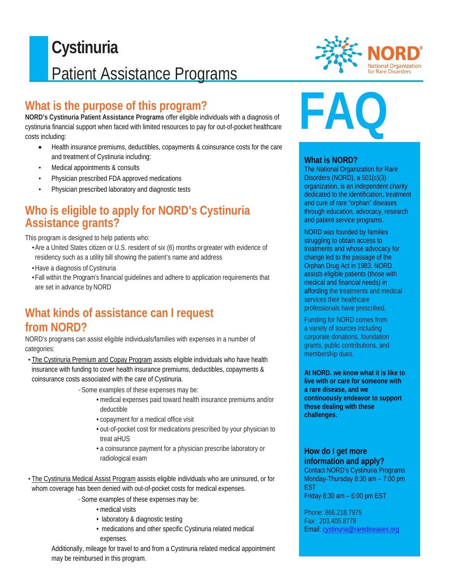## $\overline{a}$ **Cystinuria** Patient Assistance Programs

## **What is the purpose of this program?**

**NORD's Cystinuria Patient Assistance Programs** offer eligible individuals with a diagnosis of cystinuria financial support when faced with limited resources to pay for out-of-pocket healthcare costs including:

- Health insurance premiums, deductibles, copayments & coinsurance costs for the care and treatment of Cystinuria including:
- Medical appointments & consults
- Physician prescribed FDA approved medications
- Physician prescribed laboratory and diagnostic tests

## **Who is eligible to apply for NORD's Cystinuria Assistance grants?**

This program is designed to help patients who:

- •Are a United States citizen or U.S. resident of six (6) months orgreater with evidence of residency such as a utility bill showing the patient's name and address
- •Have a diagnosis of Cystinuria
- •Fall within the Program's financial guidelines and adhere to application requirements that are set in advance by NORD

## **What kinds of assistance can I request from NORD?**

NORD's programs can assist eligible individuals/families with expenses in a number of categories:

• The Cystinuria Premium and Copay Program assists eligible individuals who have health insurance with funding to cover health insurance premiums, deductibles, copayments & coinsurance costs associated with the care of Cystinuria.

*-*Some examples of these expenses may be:

- medical expenses paid toward health insurance premiums and/or deductible
- copayment for a medical office visit
- out-of-pocket cost for medications prescribed by your physician to treat aHUS
- a coinsurance payment for a physician prescribe laboratory or radiological exam

• The Cystinuria Medical Assist Program assists eligible individuals who are uninsured, or for whom coverage has been denied with out-of-pocket costs for medical expenses.

*-*Some examples of these expenses may be:

- medical visits
- laboratory & diagnostic testing
- medications and other specific Cystinuria related medical expenses.

Additionally, mileage for travel to and from a Cystinuria related medical appointment may be reimbursed in this program.



# **FAQ**

#### **What is NORD?**

The National Organization for Rare Disorders (NORD), a 501(c)(3) organization, is an independent charity dedicated to the identification, treatment and cure of rare "orphan" diseases through education, advocacy, research and patient service programs.

NORD was founded by families struggling to obtain access to treatments and whose advocacy for change led to the passage of the Orphan Drug Act in 1983. NORD assists eligible patients (those with medical and financial needs) in affording the treatments and medical services their healthcare professionals have prescribed.

Funding for NORD comes from a variety of sources including corporate donations, foundation grants, public contributions, and membership dues.

**At NORD. we know what it is like to live with or care for someone with a rare disease, and we continuously endeavor to support those dealing with these challenges.**

#### **How do I get more information and apply?**

Contact NORD's Cystinuria Programs Monday-Thursday 8:30 am – 7:00 pm EST Friday 8:30 am – 6:00 pm EST

Phone: 866.218.7975 Fax: 203.405.8778 Email: [cystinuria@rarediseases.org](mailto:cystinuria@rarediseases.org)